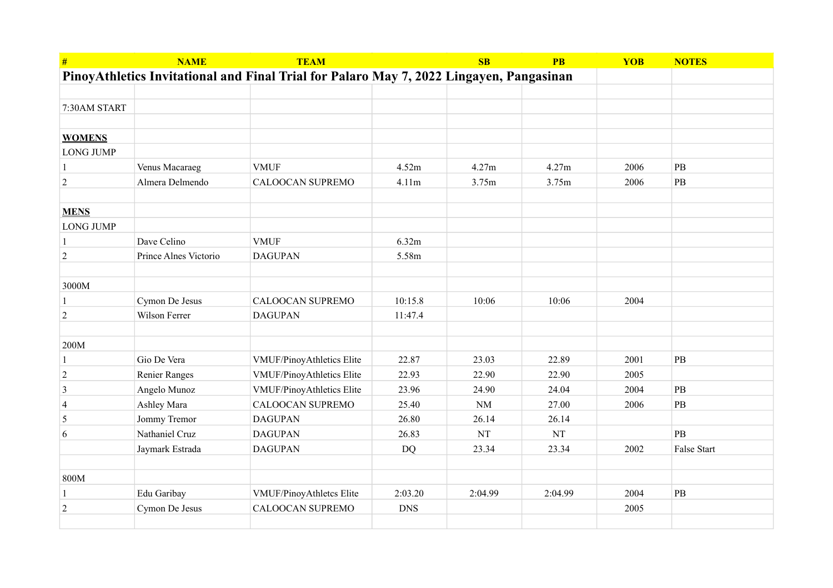| #                                                                                       | <b>NAME</b>           | <b>TEAM</b>               |            | SB        | <b>PB</b> | <b>YOB</b> | <b>NOTES</b>  |
|-----------------------------------------------------------------------------------------|-----------------------|---------------------------|------------|-----------|-----------|------------|---------------|
| PinoyAthletics Invitational and Final Trial for Palaro May 7, 2022 Lingayen, Pangasinan |                       |                           |            |           |           |            |               |
|                                                                                         |                       |                           |            |           |           |            |               |
| 7:30AM START                                                                            |                       |                           |            |           |           |            |               |
|                                                                                         |                       |                           |            |           |           |            |               |
| <b>WOMENS</b>                                                                           |                       |                           |            |           |           |            |               |
| <b>LONG JUMP</b>                                                                        |                       |                           |            |           |           |            |               |
|                                                                                         | Venus Macaraeg        | <b>VMUF</b>               | 4.52m      | 4.27m     | 4.27m     | 2006       | $\mathbf{PB}$ |
| $\sqrt{2}$                                                                              | Almera Delmendo       | CALOOCAN SUPREMO          | 4.11m      | 3.75m     | 3.75m     | 2006       | $\rm{PB}$     |
|                                                                                         |                       |                           |            |           |           |            |               |
| <b>MENS</b>                                                                             |                       |                           |            |           |           |            |               |
| <b>LONG JUMP</b>                                                                        |                       |                           |            |           |           |            |               |
| $\mathbf{1}$                                                                            | Dave Celino           | <b>VMUF</b>               | 6.32m      |           |           |            |               |
| $\overline{c}$                                                                          | Prince Alnes Victorio | <b>DAGUPAN</b>            | 5.58m      |           |           |            |               |
|                                                                                         |                       |                           |            |           |           |            |               |
| 3000M                                                                                   |                       |                           |            |           |           |            |               |
| -1                                                                                      | Cymon De Jesus        | CALOOCAN SUPREMO          | 10:15.8    | 10:06     | 10:06     | 2004       |               |
| $\sqrt{2}$                                                                              | Wilson Ferrer         | <b>DAGUPAN</b>            | 11:47.4    |           |           |            |               |
|                                                                                         |                       |                           |            |           |           |            |               |
| 200M                                                                                    |                       |                           |            |           |           |            |               |
| $\mathbf{1}$                                                                            | Gio De Vera           | VMUF/PinoyAthletics Elite | 22.87      | 23.03     | 22.89     | 2001       | PB            |
| $\overline{2}$                                                                          | <b>Renier Ranges</b>  | VMUF/PinoyAthletics Elite | 22.93      | 22.90     | 22.90     | 2005       |               |
| 3                                                                                       | Angelo Munoz          | VMUF/PinoyAthletics Elite | 23.96      | 24.90     | 24.04     | 2004       | PB            |
| $\overline{4}$                                                                          | Ashley Mara           | CALOOCAN SUPREMO          | 25.40      | $\rm{NM}$ | 27.00     | 2006       | $\mathbf{PB}$ |
| 5                                                                                       | Jommy Tremor          | <b>DAGUPAN</b>            | 26.80      | 26.14     | 26.14     |            |               |
| 6                                                                                       | Nathaniel Cruz        | <b>DAGUPAN</b>            | 26.83      | NT        | <b>NT</b> |            | PB            |
|                                                                                         | Jaymark Estrada       | <b>DAGUPAN</b>            | <b>DQ</b>  | 23.34     | 23.34     | 2002       | False Start   |
|                                                                                         |                       |                           |            |           |           |            |               |
| 800M                                                                                    |                       |                           |            |           |           |            |               |
| -1                                                                                      | Edu Garibay           | VMUF/PinoyAthletcs Elite  | 2:03.20    | 2:04.99   | 2:04.99   | 2004       | $\mathbf{PB}$ |
| $\overline{c}$                                                                          | Cymon De Jesus        | <b>CALOOCAN SUPREMO</b>   | <b>DNS</b> |           |           | 2005       |               |
|                                                                                         |                       |                           |            |           |           |            |               |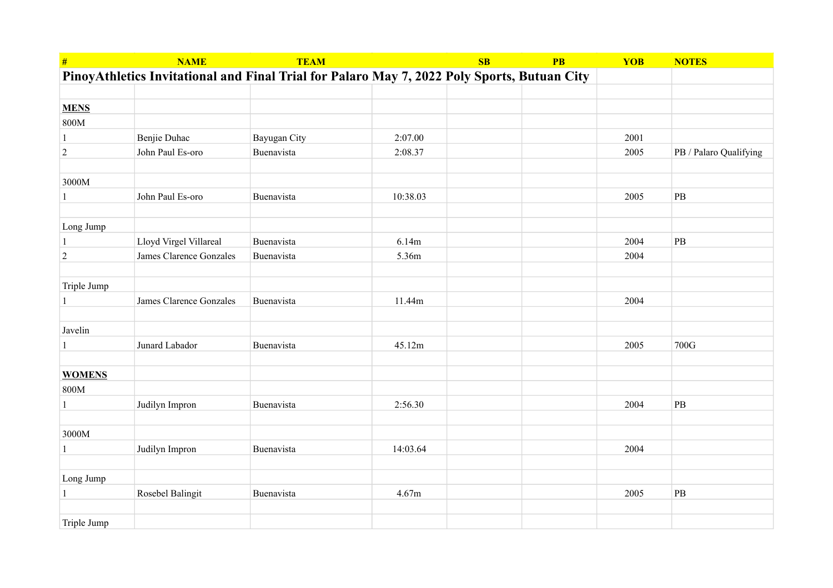| #              | <b>NAME</b>             | <b>TEAM</b>                                                                                 |          | SB | <b>PB</b> | <b>YOB</b> | <b>NOTES</b>           |
|----------------|-------------------------|---------------------------------------------------------------------------------------------|----------|----|-----------|------------|------------------------|
|                |                         | PinoyAthletics Invitational and Final Trial for Palaro May 7, 2022 Poly Sports, Butuan City |          |    |           |            |                        |
|                |                         |                                                                                             |          |    |           |            |                        |
| <b>MENS</b>    |                         |                                                                                             |          |    |           |            |                        |
| 800M           |                         |                                                                                             |          |    |           |            |                        |
| $\mathbf{1}$   | Benjie Duhac            | Bayugan City                                                                                | 2:07.00  |    |           | 2001       |                        |
| $\sqrt{2}$     | John Paul Es-oro        | Buenavista                                                                                  | 2:08.37  |    |           | 2005       | PB / Palaro Qualifying |
|                |                         |                                                                                             |          |    |           |            |                        |
| 3000M          |                         |                                                                                             |          |    |           |            |                        |
| $\mathbf{1}$   | John Paul Es-oro        | Buenavista                                                                                  | 10:38.03 |    |           | 2005       | $\mathbf{PB}$          |
|                |                         |                                                                                             |          |    |           |            |                        |
| Long Jump      |                         |                                                                                             |          |    |           |            |                        |
| $\mathbf{1}$   | Lloyd Virgel Villareal  | Buenavista                                                                                  | 6.14m    |    |           | 2004       | $\mathbf{PB}$          |
| $\overline{2}$ | James Clarence Gonzales | Buenavista                                                                                  | 5.36m    |    |           | 2004       |                        |
|                |                         |                                                                                             |          |    |           |            |                        |
| Triple Jump    |                         |                                                                                             |          |    |           |            |                        |
| 1              | James Clarence Gonzales | Buenavista                                                                                  | 11.44m   |    |           | 2004       |                        |
|                |                         |                                                                                             |          |    |           |            |                        |
| Javelin        |                         |                                                                                             |          |    |           |            |                        |
| 1              | Junard Labador          | Buenavista                                                                                  | 45.12m   |    |           | 2005       | 700G                   |
|                |                         |                                                                                             |          |    |           |            |                        |
| <b>WOMENS</b>  |                         |                                                                                             |          |    |           |            |                        |
| 800M           |                         |                                                                                             |          |    |           |            |                        |
| $\mathbf{1}$   | Judilyn Impron          | Buenavista                                                                                  | 2:56.30  |    |           | 2004       | $\rm{PB}$              |
|                |                         |                                                                                             |          |    |           |            |                        |
| 3000M          |                         |                                                                                             |          |    |           |            |                        |
| $\mathbf{1}$   | Judilyn Impron          | Buenavista                                                                                  | 14:03.64 |    |           | 2004       |                        |
|                |                         |                                                                                             |          |    |           |            |                        |
| Long Jump      |                         |                                                                                             |          |    |           |            |                        |
| 1              | Rosebel Balingit        | Buenavista                                                                                  | 4.67m    |    |           | 2005       | $\rm{PB}$              |
|                |                         |                                                                                             |          |    |           |            |                        |
| Triple Jump    |                         |                                                                                             |          |    |           |            |                        |